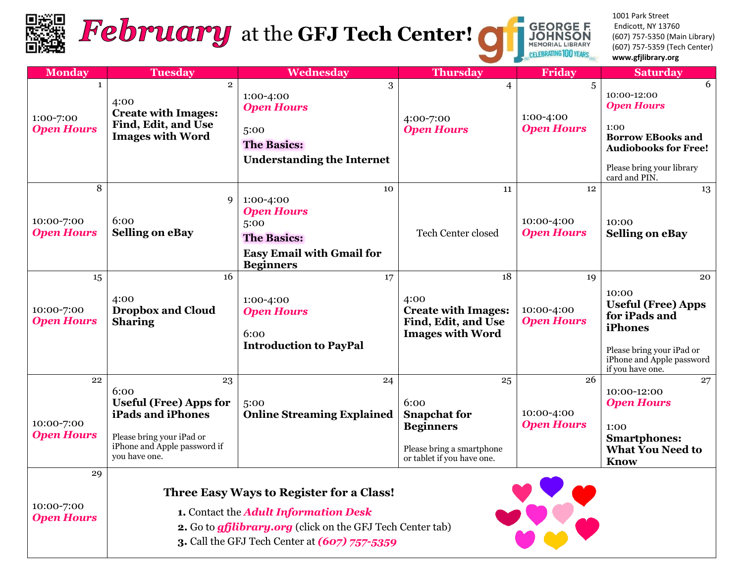

# February at the GFJ Tech Center!

1001 Park Street Endicott, NY 13760 (607) 757-5350 (Main Library) (607) 757-5359 (Tech Center) **www.gfjlibrary.org**

**GEORGE F.<br>JOHNSON**<br>MEMORIAL LIBRARY

**CELEBRATING 100** 

| <b>Monday</b>                                  | <b>Tuesday</b>                                                                                                                                 | Wednesday                                                                                                                                                                     | Thursday                                                                                                         | Friday                                | <b>Saturday</b>                                                                                                                                        |
|------------------------------------------------|------------------------------------------------------------------------------------------------------------------------------------------------|-------------------------------------------------------------------------------------------------------------------------------------------------------------------------------|------------------------------------------------------------------------------------------------------------------|---------------------------------------|--------------------------------------------------------------------------------------------------------------------------------------------------------|
| $\mathbf{1}$<br>1:00-7:00<br><b>Open Hours</b> | $\overline{2}$<br>4:00<br><b>Create with Images:</b><br>Find, Edit, and Use<br><b>Images with Word</b>                                         | 3<br>1:00-4:00<br><b>Open Hours</b><br>5:00<br><b>The Basics:</b><br><b>Understanding the Internet</b>                                                                        | $\overline{4}$<br>4:00-7:00<br><b>Open Hours</b>                                                                 | 5<br>1:00-4:00<br><b>Open Hours</b>   | 6<br>10:00-12:00<br><b>Open Hours</b><br>1:00<br><b>Borrow EBooks and</b><br><b>Audiobooks for Free!</b><br>Please bring your library<br>card and PIN. |
| 8<br>10:00-7:00<br><b>Open Hours</b>           | 9<br>6:00<br><b>Selling on eBay</b>                                                                                                            | 10<br>1:00-4:00<br><b>Open Hours</b><br>5:00<br><b>The Basics:</b><br><b>Easy Email with Gmail for</b><br><b>Beginners</b>                                                    | 11<br>Tech Center closed                                                                                         | 12<br>10:00-4:00<br><b>Open Hours</b> | 13<br>10:00<br><b>Selling on eBay</b>                                                                                                                  |
| 15<br>10:00-7:00<br><b>Open Hours</b>          | 16<br>4:00<br><b>Dropbox and Cloud</b><br><b>Sharing</b>                                                                                       | 17<br>1:00-4:00<br><b>Open Hours</b><br>6:00<br><b>Introduction to PayPal</b>                                                                                                 | 18<br>4:00<br><b>Create with Images:</b><br>Find, Edit, and Use<br><b>Images with Word</b>                       | 19<br>10:00-4:00<br><b>Open Hours</b> | 20<br>10:00<br><b>Useful (Free) Apps</b><br>for iPads and<br>iPhones<br>Please bring your iPad or<br>iPhone and Apple password<br>if you have one.     |
| 22<br>10:00-7:00<br><b>Open Hours</b>          | 23<br>6:00<br><b>Useful (Free) Apps for</b><br>iPads and iPhones<br>Please bring your iPad or<br>iPhone and Apple password if<br>you have one. | 24<br>5:00<br><b>Online Streaming Explained</b>                                                                                                                               | 25<br>6:00<br><b>Snapchat for</b><br><b>Beginners</b><br>Please bring a smartphone<br>or tablet if you have one. | 26<br>10:00-4:00<br><b>Open Hours</b> | 27<br>10:00-12:00<br><b>Open Hours</b><br>1:00<br><b>Smartphones:</b><br><b>What You Need to</b><br><b>Know</b>                                        |
| 29<br>10:00-7:00                               |                                                                                                                                                | Three Easy Ways to Register for a Class!<br>$\mathbf{A}$ . Contract the $\mathbf{A}$ definite $\mathbf{L}$ of $\mathbf{C}$ and $\mathbf{A}$ and $\mathbf{D}$ and $\mathbf{L}$ |                                                                                                                  |                                       |                                                                                                                                                        |

*Open Hours*

 **1.** Contact the *Adult Information Desk*

 **2.** Go to *gfjlibrary.org* (click on the GFJ Tech Center tab)

 **3.** Call the GFJ Tech Center at *(607) 757-5359*